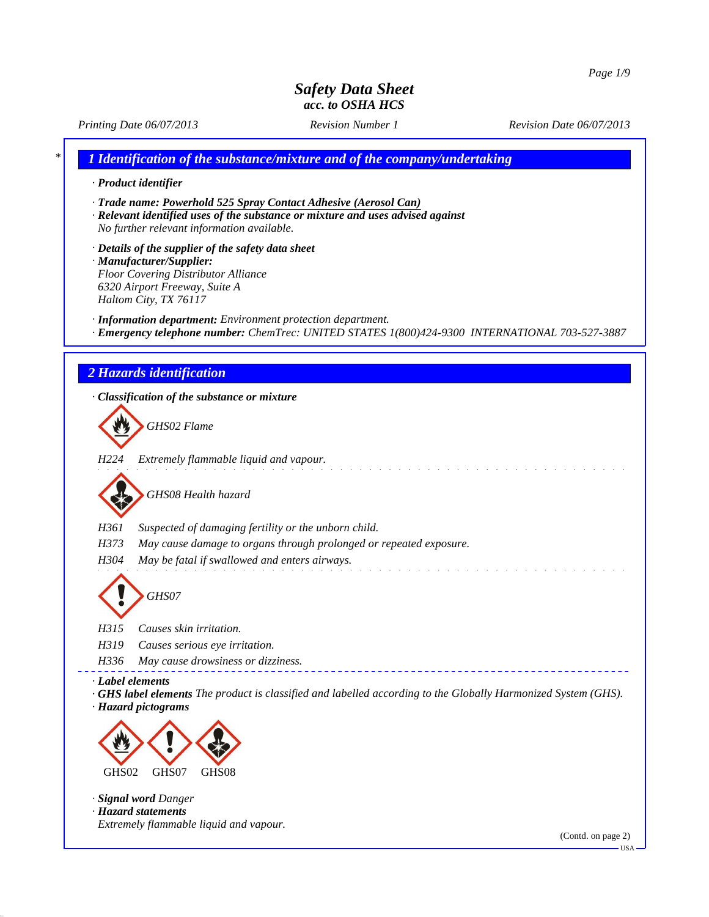*Printing Date 06/07/2013 Revision Number 1 Revision Date 06/07/2013*

*\* 1 Identification of the substance/mixture and of the company/undertaking*

*· Product identifier*

*· Trade name: Powerhold 525 Spray Contact Adhesive (Aerosol Can)*

*· Relevant identified uses of the substance or mixture and uses advised against No further relevant information available.*

*· Details of the supplier of the safety data sheet · Manufacturer/Supplier: Floor Covering Distributor Alliance 6320 Airport Freeway, Suite A Haltom City, TX 76117*

*· Information department: Environment protection department.*

*· Emergency telephone number: ChemTrec: UNITED STATES 1(800)424-9300 INTERNATIONAL 703-527-3887*

### *2 Hazards identification*

*· Classification of the substance or mixture GHS02 Flame H224 Extremely flammable liquid and vapour. GHS08 Health hazard H361 Suspected of damaging fertility or the unborn child. H373 May cause damage to organs through prolonged or repeated exposure. H304 May be fatal if swallowed and enters airways. GHS07 H315 Causes skin irritation. H319 Causes serious eye irritation. H336 May cause drowsiness or dizziness. · Label elements · GHS label elements The product is classified and labelled according to the Globally Harmonized System (GHS). · Hazard pictograms* GHS02 GHS07 GHS08 *· Signal word Danger · Hazard statements Extremely flammable liquid and vapour.*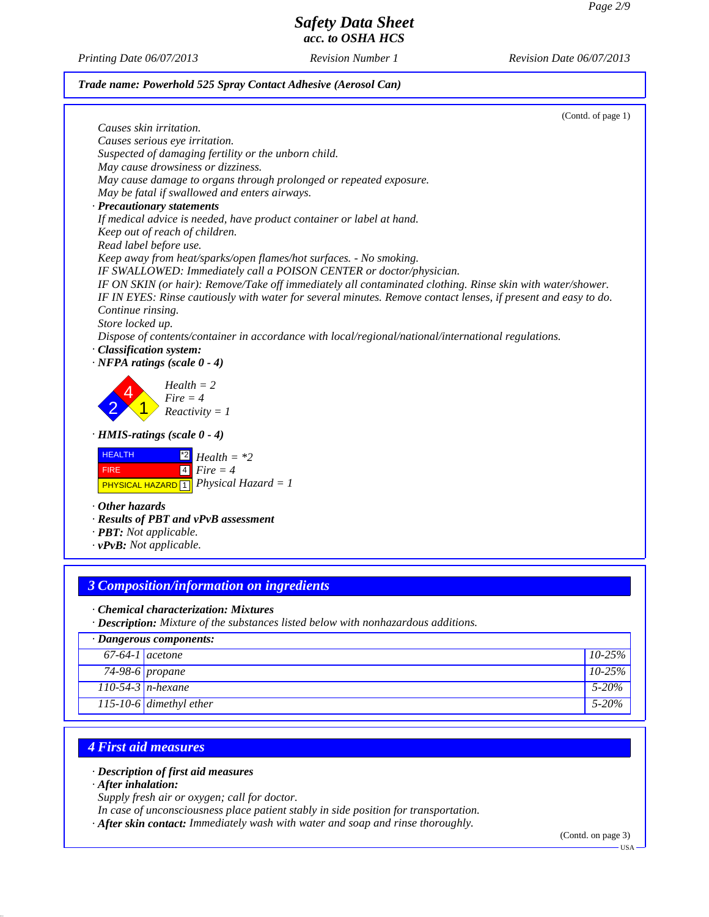*Printing Date 06/07/2013 Revision Number 1 Revision Date 06/07/2013*

### *Trade name: Powerhold 525 Spray Contact Adhesive (Aerosol Can)*

(Contd. of page 1) *Causes skin irritation. Causes serious eye irritation. Suspected of damaging fertility or the unborn child. May cause drowsiness or dizziness. May cause damage to organs through prolonged or repeated exposure. May be fatal if swallowed and enters airways. · Precautionary statements If medical advice is needed, have product container or label at hand. Keep out of reach of children. Read label before use. Keep away from heat/sparks/open flames/hot surfaces. - No smoking. IF SWALLOWED: Immediately call a POISON CENTER or doctor/physician. IF ON SKIN (or hair): Remove/Take off immediately all contaminated clothing. Rinse skin with water/shower. IF IN EYES: Rinse cautiously with water for several minutes. Remove contact lenses, if present and easy to do. Continue rinsing. Store locked up. Dispose of contents/container in accordance with local/regional/national/international regulations. · Classification system: · NFPA ratings (scale 0 - 4)* 2 4 1 *Health = 2 Fire = 4 Reactivity = 1 · HMIS-ratings (scale 0 - 4)* HEALTH FIRE PHYSICAL HAZARD 1 *Physical Hazard = 1* \*2 *Health = \*2* 4 *Fire = 4 · Other hazards · Results of PBT and vPvB assessment · PBT: Not applicable.*

*· vPvB: Not applicable.*

# *3 Composition/information on ingredients*

#### *· Chemical characterization: Mixtures*

*· Description: Mixture of the substances listed below with nonhazardous additions.*

|                   | $\cdot$ Dangerous components:  |             |
|-------------------|--------------------------------|-------------|
| $67-64-1$ acetone |                                | $10-25\%$   |
|                   | 74-98-6 propane                | $10 - 25\%$ |
|                   | $\overline{110-54-3}$ n-hexane | $5 - 20\%$  |
|                   | $115 - 10 - 6$ dimethyl ether  | $5 - 20\%$  |

## *4 First aid measures*

*· Description of first aid measures*

*· After inhalation:*

*Supply fresh air or oxygen; call for doctor.*

*In case of unconsciousness place patient stably in side position for transportation.*

*· After skin contact: Immediately wash with water and soap and rinse thoroughly.*

(Contd. on page 3)

USA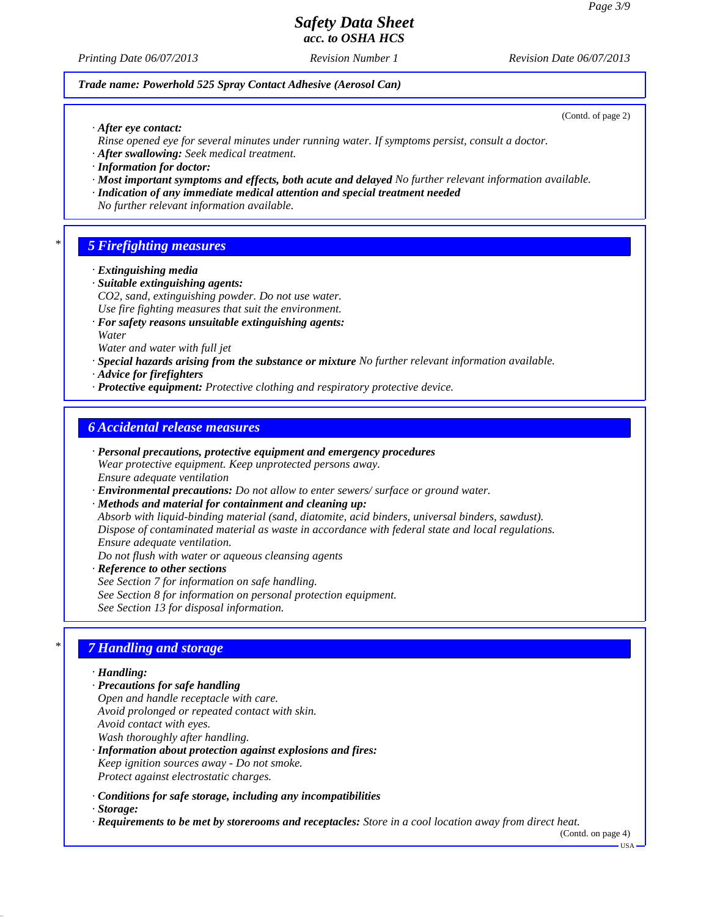(Contd. of page 2)

# *Safety Data Sheet acc. to OSHA HCS*

*Printing Date 06/07/2013 Revision Number 1 Revision Date 06/07/2013*

#### *Trade name: Powerhold 525 Spray Contact Adhesive (Aerosol Can)*

*· After eye contact:*

- *Rinse opened eye for several minutes under running water. If symptoms persist, consult a doctor.*
- *· After swallowing: Seek medical treatment.*
- *· Information for doctor:*
- *· Most important symptoms and effects, both acute and delayed No further relevant information available.*
- *· Indication of any immediate medical attention and special treatment needed*
- *No further relevant information available.*

### *\* 5 Firefighting measures*

- *· Extinguishing media*
- *· Suitable extinguishing agents:*
- *CO2, sand, extinguishing powder. Do not use water.*
- *Use fire fighting measures that suit the environment.*
- *· For safety reasons unsuitable extinguishing agents: Water*
- *Water and water with full jet*
- *· Special hazards arising from the substance or mixture No further relevant information available.*
- *· Advice for firefighters*
- *· Protective equipment: Protective clothing and respiratory protective device.*

## *6 Accidental release measures*

- *· Personal precautions, protective equipment and emergency procedures Wear protective equipment. Keep unprotected persons away. Ensure adequate ventilation*
- *· Environmental precautions: Do not allow to enter sewers/ surface or ground water.*
- *· Methods and material for containment and cleaning up:*

*Absorb with liquid-binding material (sand, diatomite, acid binders, universal binders, sawdust). Dispose of contaminated material as waste in accordance with federal state and local regulations. Ensure adequate ventilation.*

*Do not flush with water or aqueous cleansing agents*

*· Reference to other sections See Section 7 for information on safe handling.*

*See Section 8 for information on personal protection equipment. See Section 13 for disposal information.*

### *\* 7 Handling and storage*

*· Handling:*

- *· Precautions for safe handling*
- *Open and handle receptacle with care. Avoid prolonged or repeated contact with skin. Avoid contact with eyes. Wash thoroughly after handling.*
- *· Information about protection against explosions and fires: Keep ignition sources away - Do not smoke. Protect against electrostatic charges.*
- *· Conditions for safe storage, including any incompatibilities*
- *· Storage:*
- *· Requirements to be met by storerooms and receptacles: Store in a cool location away from direct heat.*

(Contd. on page 4)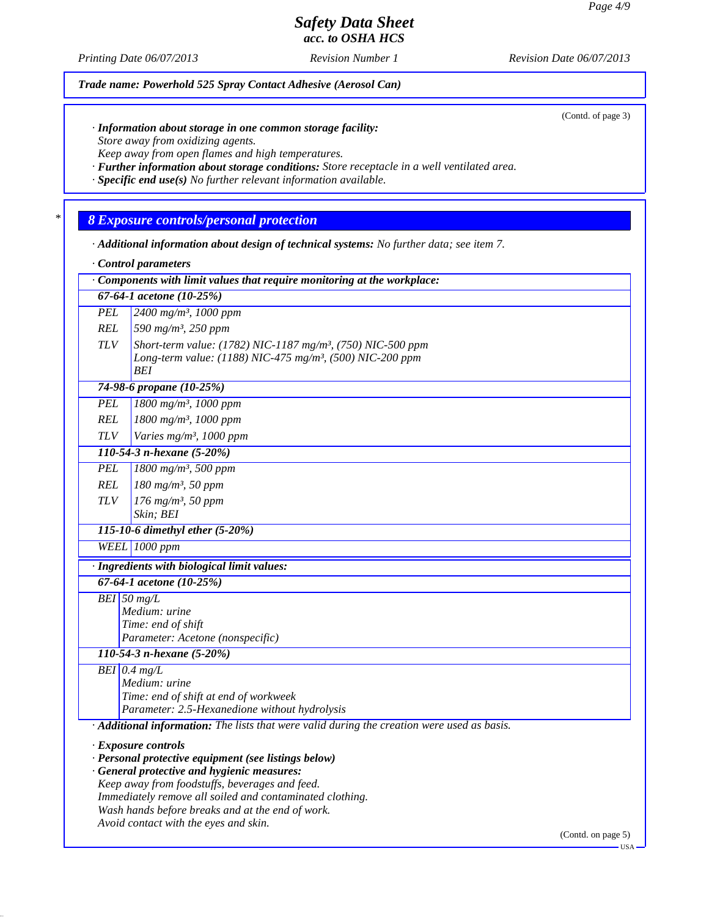*Printing Date 06/07/2013 Revision Number 1 Revision Date 06/07/2013*

*Trade name: Powerhold 525 Spray Contact Adhesive (Aerosol Can)*

(Contd. of page 3)

*· Information about storage in one common storage facility: Store away from oxidizing agents.*

*Keep away from open flames and high temperatures.*

*· Further information about storage conditions: Store receptacle in a well ventilated area.*

*· Specific end use(s) No further relevant information available.*

*\* 8 Exposure controls/personal protection*

*· Additional information about design of technical systems: No further data; see item 7.*

*· Control parameters*

|               | Components with limit values that require monitoring at the workplace:                      |
|---------------|---------------------------------------------------------------------------------------------|
|               | 67-64-1 acetone (10-25%)                                                                    |
| <b>PEL</b>    | 2400 mg/m <sup>3</sup> , 1000 ppm                                                           |
| <b>REL</b>    | 590 mg/m <sup>3</sup> , 250 ppm                                                             |
| <b>TLV</b>    | Short-term value: (1782) NIC-1187 mg/m <sup>3</sup> , (750) NIC-500 ppm                     |
|               | Long-term value: (1188) NIC-475 mg/m <sup>3</sup> , (500) NIC-200 ppm                       |
|               | BEI                                                                                         |
|               | 74-98-6 propane (10-25%)                                                                    |
| <b>PEL</b>    | 1800 mg/m <sup>3</sup> , 1000 ppm                                                           |
| <b>REL</b>    | 1800 mg/m <sup>3</sup> , 1000 ppm                                                           |
| <b>TLV</b>    | Varies mg/m <sup>3</sup> , 1000 ppm                                                         |
|               | 110-54-3 n-hexane (5-20%)                                                                   |
| <b>PEL</b>    | $1800$ mg/m <sup>3</sup> , 500 ppm                                                          |
| <b>REL</b>    | 180 mg/m <sup>3</sup> , 50 ppm                                                              |
| <b>TLV</b>    | 176 mg/m <sup>3</sup> , 50 ppm                                                              |
|               | Skin; BEI                                                                                   |
|               | 115-10-6 dimethyl ether (5-20%)                                                             |
|               | <b>WEEL</b> 1000 ppm                                                                        |
|               | · Ingredients with biological limit values:                                                 |
|               | 67-64-1 acetone (10-25%)                                                                    |
| $BEI$ 50 mg/L |                                                                                             |
|               | Medium: urine                                                                               |
|               | Time: end of shift<br>Parameter: Acetone (nonspecific)                                      |
|               | 110-54-3 n-hexane (5-20%)                                                                   |
|               | $BEI$ 0.4 mg/L                                                                              |
|               | Medium: urine                                                                               |
|               | Time: end of shift at end of workweek                                                       |
|               | Parameter: 2.5-Hexanedione without hydrolysis                                               |
|               | · Additional information: The lists that were valid during the creation were used as basis. |
|               | · Exposure controls                                                                         |
|               | · Personal protective equipment (see listings below)                                        |
|               | · General protective and hygienic measures:                                                 |
|               | Keep away from foodstuffs, beverages and feed.                                              |
|               | Immediately remove all soiled and contaminated clothing.                                    |
|               | Wash hands before breaks and at the end of work.                                            |

*Avoid contact with the eyes and skin.*

(Contd. on page 5)

USA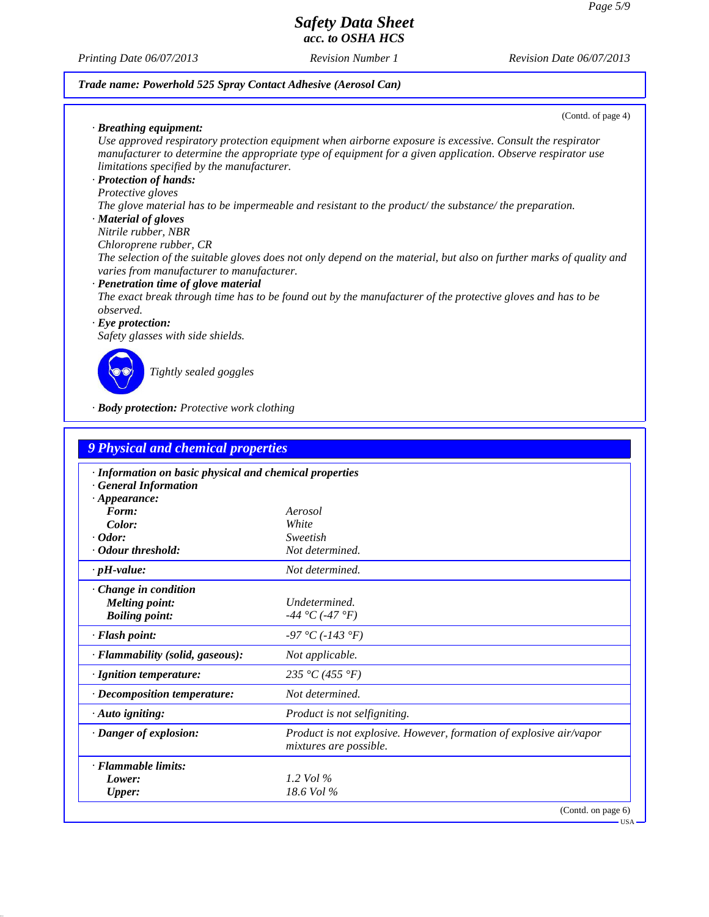*Printing Date 06/07/2013 Revision Number 1 Revision Date 06/07/2013*

### *Trade name: Powerhold 525 Spray Contact Adhesive (Aerosol Can)*

(Contd. of page 4)

*· Breathing equipment: Use approved respiratory protection equipment when airborne exposure is excessive. Consult the respirator manufacturer to determine the appropriate type of equipment for a given application. Observe respirator use limitations specified by the manufacturer.*

### *· Protection of hands:*

### *Protective gloves*

*The glove material has to be impermeable and resistant to the product/ the substance/ the preparation.*

### *· Material of gloves*

*Nitrile rubber, NBR*

*Chloroprene rubber, CR*

*The selection of the suitable gloves does not only depend on the material, but also on further marks of quality and varies from manufacturer to manufacturer.*

#### *· Penetration time of glove material*

*The exact break through time has to be found out by the manufacturer of the protective gloves and has to be observed.*

#### *· Eye protection:*

*Safety glasses with side shields.*



*Tightly sealed goggles*

*· Body protection: Protective work clothing*

| <b>9 Physical and chemical properties</b>               |                                                                                                      |
|---------------------------------------------------------|------------------------------------------------------------------------------------------------------|
| · Information on basic physical and chemical properties |                                                                                                      |
| <b>General Information</b>                              |                                                                                                      |
| $\cdot$ Appearance:                                     |                                                                                                      |
| Form:                                                   | Aerosol                                                                                              |
| Color:<br>$\cdot$ Odor:                                 | White<br>Sweetish                                                                                    |
| · Odour threshold:                                      | Not determined.                                                                                      |
|                                                         |                                                                                                      |
| $\cdot$ pH-value:                                       | Not determined.                                                                                      |
| Change in condition                                     |                                                                                                      |
| <b>Melting point:</b>                                   | Undetermined.                                                                                        |
| <b>Boiling point:</b>                                   | -44 °C (-47 °F)                                                                                      |
| · Flash point:                                          | $-97 °C (-143 °F)$                                                                                   |
| · Flammability (solid, gaseous):                        | Not applicable.                                                                                      |
| · Ignition temperature:                                 | 235 °C (455 °F)                                                                                      |
| $\cdot$ Decomposition temperature:                      | Not determined.                                                                                      |
| $\cdot$ Auto igniting:                                  | Product is not selfigniting.                                                                         |
| · Danger of explosion:                                  | <i>Product is not explosive. However, formation of explosive air/vapor</i><br>mixtures are possible. |
| · Flammable limits:                                     |                                                                                                      |
| Lower:                                                  | 1.2 Vol $\%$                                                                                         |
| <b>Upper:</b>                                           | $18.6$ Vol $\%$                                                                                      |
|                                                         | (Contd. on page 6)                                                                                   |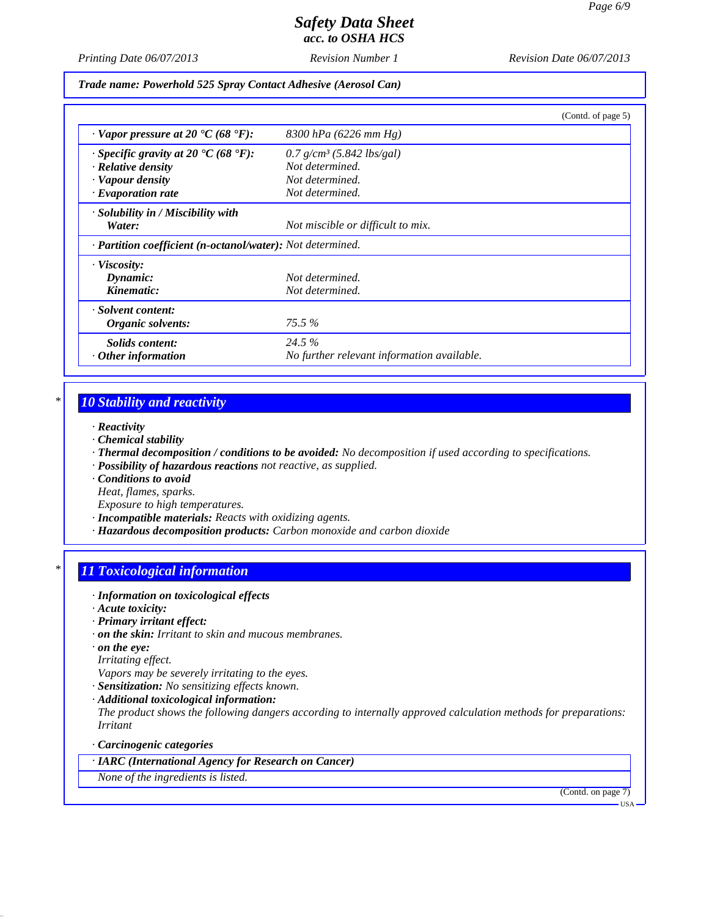*Printing Date 06/07/2013 Revision Number 1 Revision Date 06/07/2013*

*Trade name: Powerhold 525 Spray Contact Adhesive (Aerosol Can)*

|                                                            | (Contd. of page 5)                         |
|------------------------------------------------------------|--------------------------------------------|
| $\cdot$ Vapor pressure at 20 $\cdot$ C (68 $\cdot$ F):     | 8300 hPa (6226 mm Hg)                      |
| $\cdot$ Specific gravity at 20 °C (68 °F):                 | $0.7$ g/cm <sup>3</sup> (5.842 lbs/gal)    |
| · Relative density                                         | Not determined.                            |
| · Vapour density                                           | Not determined.                            |
| $\cdot$ Evaporation rate                                   | Not determined.                            |
| $\cdot$ Solubility in / Miscibility with<br>Water:         | Not miscible or difficult to mix.          |
| · Partition coefficient (n-octanol/water): Not determined. |                                            |
| · Viscosity:                                               |                                            |
| Dynamic:                                                   | Not determined.                            |
| Kinematic:                                                 | Not determined.                            |
| · Solvent content:                                         |                                            |
| Organic solvents:                                          | $75.5\%$                                   |
| Solids content:                                            | 24.5 %                                     |
| $\cdot$ Other information                                  | No further relevant information available. |

# *\* 10 Stability and reactivity*

- *· Reactivity*
- *· Chemical stability*
- *· Thermal decomposition / conditions to be avoided: No decomposition if used according to specifications.*
- *· Possibility of hazardous reactions not reactive, as supplied.*
- *· Conditions to avoid Heat, flames, sparks.*
- *Exposure to high temperatures. · Incompatible materials: Reacts with oxidizing agents.*
- *· Hazardous decomposition products: Carbon monoxide and carbon dioxide*

## *\* 11 Toxicological information*

- *· Information on toxicological effects*
- *· Acute toxicity:*
- *· Primary irritant effect:*
- *· on the skin: Irritant to skin and mucous membranes.*
- *· on the eye:*
- *Irritating effect.*
- *Vapors may be severely irritating to the eyes.*
- *· Sensitization: No sensitizing effects known.*
- *· Additional toxicological information:*

*The product shows the following dangers according to internally approved calculation methods for preparations: Irritant*

#### *· Carcinogenic categories*

*· IARC (International Agency for Research on Cancer)*

*None of the ingredients is listed.*

(Contd. on page 7)

USA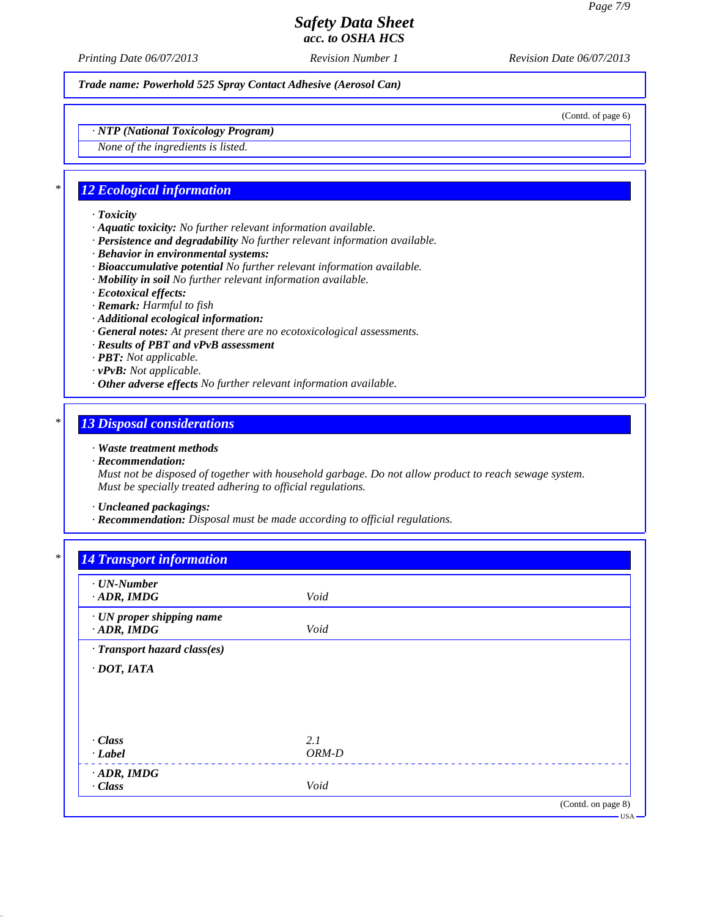*Printing Date 06/07/2013 Revision Number 1 Revision Date 06/07/2013*

*Trade name: Powerhold 525 Spray Contact Adhesive (Aerosol Can)*

(Contd. of page 6)

*· NTP (National Toxicology Program)*

*None of the ingredients is listed.*

### *\* 12 Ecological information*

- *· Toxicity*
- *· Aquatic toxicity: No further relevant information available.*
- *· Persistence and degradability No further relevant information available.*
- *· Behavior in environmental systems:*
- *· Bioaccumulative potential No further relevant information available.*
- *· Mobility in soil No further relevant information available.*
- *· Ecotoxical effects:*
- *· Remark: Harmful to fish*
- *· Additional ecological information:*
- *· General notes: At present there are no ecotoxicological assessments.*
- *· Results of PBT and vPvB assessment*
- *· PBT: Not applicable.*
- *· vPvB: Not applicable.*
- *· Other adverse effects No further relevant information available.*

## *\* 13 Disposal considerations*

#### *· Waste treatment methods*

*· Recommendation:*

*Must not be disposed of together with household garbage. Do not allow product to reach sewage system. Must be specially treated adhering to official regulations.*

- *· Uncleaned packagings:*
- *· Recommendation: Disposal must be made according to official regulations.*

# *\* 14 Transport information*

| $\cdot$ UN-Number<br>$\cdot$ ADR, IMDG         | Void    |  |
|------------------------------------------------|---------|--|
| · UN proper shipping name<br>$\cdot$ ADR, IMDG | Void    |  |
| · Transport hazard class(es)                   |         |  |
| $\cdot$ DOT, IATA                              |         |  |
|                                                |         |  |
|                                                |         |  |
| $\cdot$ Class                                  | 2.1     |  |
| $\cdot$ Label                                  | $ORM-D$ |  |
|                                                |         |  |
| $\cdot$ ADR, IMDG<br>$\cdot$ Class             | Void    |  |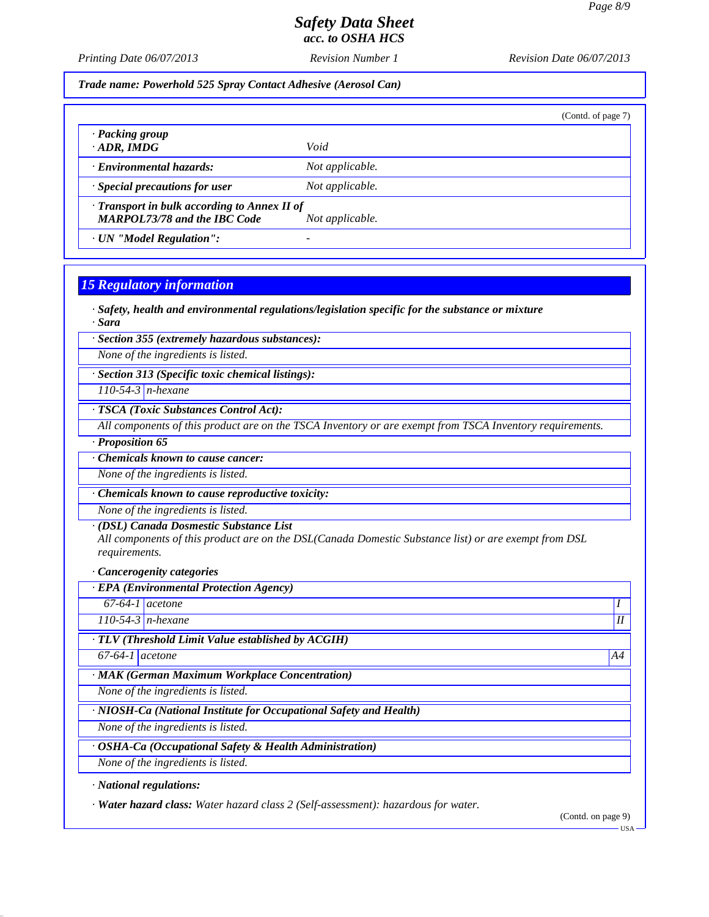*Printing Date 06/07/2013 Revision Number 1 Revision Date 06/07/2013*

*Trade name: Powerhold 525 Spray Contact Adhesive (Aerosol Can)*

(Contd. of page 7)

*· Packing group · ADR, IMDG Void*

*· Environmental hazards: Not applicable.*

*· Special precautions for user Not applicable.*

*· Transport in bulk according to Annex II of MARPOL73/78 and the IBC Code Not applicable.*

*· UN "Model Regulation": -* 

### *15 Regulatory information*

*· Safety, health and environmental regulations/legislation specific for the substance or mixture · Sara*

*· Section 355 (extremely hazardous substances):*

*None of the ingredients is listed.*

*· Section 313 (Specific toxic chemical listings):*

*110-54-3 n-hexane*

*· TSCA (Toxic Substances Control Act):*

*All components of this product are on the TSCA Inventory or are exempt from TSCA Inventory requirements.*

*· Proposition 65*

*· Chemicals known to cause cancer:*

*None of the ingredients is listed.*

*· Chemicals known to cause reproductive toxicity:*

*None of the ingredients is listed.*

#### *· (DSL) Canada Dosmestic Substance List*

*All components of this product are on the DSL(Canada Domestic Substance list) or are exempt from DSL requirements.*

*· Cancerogenity categories*

*· EPA (Environmental Protection Agency) 67-64-1 acetone 110-54-3 n-hexane II · TLV (Threshold Limit Value established by ACGIH) 67-64-1 acetone A4 · MAK (German Maximum Workplace Concentration) None of the ingredients is listed. · NIOSH-Ca (National Institute for Occupational Safety and Health) None of the ingredients is listed. · OSHA-Ca (Occupational Safety & Health Administration) None of the ingredients is listed. · National regulations:*

*· Water hazard class: Water hazard class 2 (Self-assessment): hazardous for water.*

(Contd. on page 9)

USA